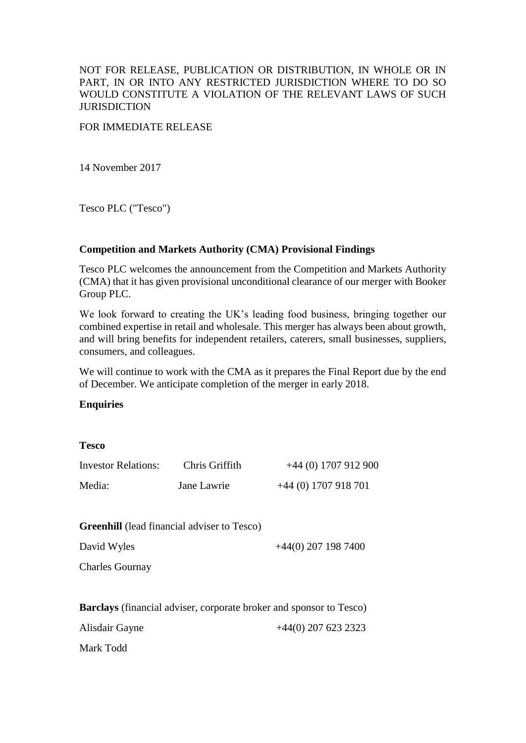## NOT FOR RELEASE, PUBLICATION OR DISTRIBUTION, IN WHOLE OR IN PART, IN OR INTO ANY RESTRICTED JURISDICTION WHERE TO DO SO WOULD CONSTITUTE A VIOLATION OF THE RELEVANT LAWS OF SUCH **JURISDICTION**

#### FOR IMMEDIATE RELEASE

14 November 2017

Tesco PLC ("Tesco")

#### **Competition and Markets Authority (CMA) Provisional Findings**

Tesco PLC welcomes the announcement from the Competition and Markets Authority (CMA) that it has given provisional unconditional clearance of our merger with Booker Group PLC.

We look forward to creating the UK's leading food business, bringing together our combined expertise in retail and wholesale. This merger has always been about growth, and will bring benefits for independent retailers, caterers, small businesses, suppliers, consumers, and colleagues.

We will continue to work with the CMA as it prepares the Final Report due by the end of December. We anticipate completion of the merger in early 2018.

#### **Enquiries**

| <b>Tesco</b>                                       |                |                                                                            |
|----------------------------------------------------|----------------|----------------------------------------------------------------------------|
| <b>Investor Relations:</b>                         | Chris Griffith | $+44(0)$ 1707 912 900                                                      |
| Media:                                             | Jane Lawrie    | $+44$ (0) 1707 918 701                                                     |
|                                                    |                |                                                                            |
| <b>Greenhill</b> (lead financial adviser to Tesco) |                |                                                                            |
| David Wyles                                        |                | $+44(0)$ 207 198 7400                                                      |
| <b>Charles Gournay</b>                             |                |                                                                            |
|                                                    |                |                                                                            |
|                                                    |                | <b>Barclays</b> (financial adviser, corporate broker and sponsor to Tesco) |
| Alisdair Gayne                                     |                | $+44(0)$ 207 623 2323                                                      |
| Mark Todd                                          |                |                                                                            |
|                                                    |                |                                                                            |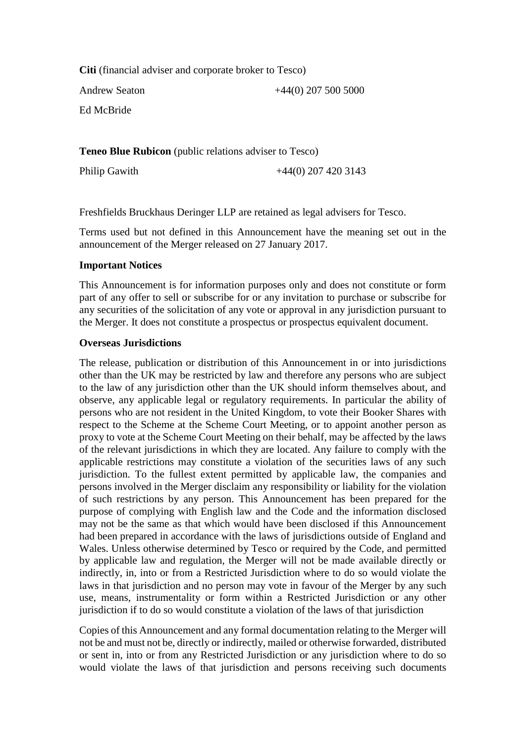**Citi** (financial adviser and corporate broker to Tesco)

Andrew Seaton +44(0) 207 500 5000

Ed McBride

**Teneo Blue Rubicon** (public relations adviser to Tesco)

Philip Gawith  $+44(0)$  207 420 3143

Freshfields Bruckhaus Deringer LLP are retained as legal advisers for Tesco.

Terms used but not defined in this Announcement have the meaning set out in the announcement of the Merger released on 27 January 2017.

# **Important Notices**

This Announcement is for information purposes only and does not constitute or form part of any offer to sell or subscribe for or any invitation to purchase or subscribe for any securities of the solicitation of any vote or approval in any jurisdiction pursuant to the Merger. It does not constitute a prospectus or prospectus equivalent document.

## **Overseas Jurisdictions**

The release, publication or distribution of this Announcement in or into jurisdictions other than the UK may be restricted by law and therefore any persons who are subject to the law of any jurisdiction other than the UK should inform themselves about, and observe, any applicable legal or regulatory requirements. In particular the ability of persons who are not resident in the United Kingdom, to vote their Booker Shares with respect to the Scheme at the Scheme Court Meeting, or to appoint another person as proxy to vote at the Scheme Court Meeting on their behalf, may be affected by the laws of the relevant jurisdictions in which they are located. Any failure to comply with the applicable restrictions may constitute a violation of the securities laws of any such jurisdiction. To the fullest extent permitted by applicable law, the companies and persons involved in the Merger disclaim any responsibility or liability for the violation of such restrictions by any person. This Announcement has been prepared for the purpose of complying with English law and the Code and the information disclosed may not be the same as that which would have been disclosed if this Announcement had been prepared in accordance with the laws of jurisdictions outside of England and Wales. Unless otherwise determined by Tesco or required by the Code, and permitted by applicable law and regulation, the Merger will not be made available directly or indirectly, in, into or from a Restricted Jurisdiction where to do so would violate the laws in that jurisdiction and no person may vote in favour of the Merger by any such use, means, instrumentality or form within a Restricted Jurisdiction or any other jurisdiction if to do so would constitute a violation of the laws of that jurisdiction

Copies of this Announcement and any formal documentation relating to the Merger will not be and must not be, directly or indirectly, mailed or otherwise forwarded, distributed or sent in, into or from any Restricted Jurisdiction or any jurisdiction where to do so would violate the laws of that jurisdiction and persons receiving such documents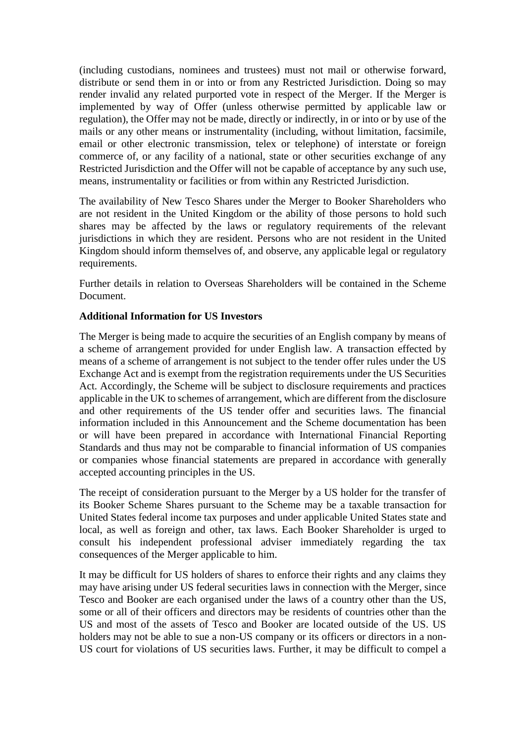(including custodians, nominees and trustees) must not mail or otherwise forward, distribute or send them in or into or from any Restricted Jurisdiction. Doing so may render invalid any related purported vote in respect of the Merger. If the Merger is implemented by way of Offer (unless otherwise permitted by applicable law or regulation), the Offer may not be made, directly or indirectly, in or into or by use of the mails or any other means or instrumentality (including, without limitation, facsimile, email or other electronic transmission, telex or telephone) of interstate or foreign commerce of, or any facility of a national, state or other securities exchange of any Restricted Jurisdiction and the Offer will not be capable of acceptance by any such use, means, instrumentality or facilities or from within any Restricted Jurisdiction.

The availability of New Tesco Shares under the Merger to Booker Shareholders who are not resident in the United Kingdom or the ability of those persons to hold such shares may be affected by the laws or regulatory requirements of the relevant jurisdictions in which they are resident. Persons who are not resident in the United Kingdom should inform themselves of, and observe, any applicable legal or regulatory requirements.

Further details in relation to Overseas Shareholders will be contained in the Scheme Document.

### **Additional Information for US Investors**

The Merger is being made to acquire the securities of an English company by means of a scheme of arrangement provided for under English law. A transaction effected by means of a scheme of arrangement is not subject to the tender offer rules under the US Exchange Act and is exempt from the registration requirements under the US Securities Act. Accordingly, the Scheme will be subject to disclosure requirements and practices applicable in the UK to schemes of arrangement, which are different from the disclosure and other requirements of the US tender offer and securities laws. The financial information included in this Announcement and the Scheme documentation has been or will have been prepared in accordance with International Financial Reporting Standards and thus may not be comparable to financial information of US companies or companies whose financial statements are prepared in accordance with generally accepted accounting principles in the US.

The receipt of consideration pursuant to the Merger by a US holder for the transfer of its Booker Scheme Shares pursuant to the Scheme may be a taxable transaction for United States federal income tax purposes and under applicable United States state and local, as well as foreign and other, tax laws. Each Booker Shareholder is urged to consult his independent professional adviser immediately regarding the tax consequences of the Merger applicable to him.

It may be difficult for US holders of shares to enforce their rights and any claims they may have arising under US federal securities laws in connection with the Merger, since Tesco and Booker are each organised under the laws of a country other than the US, some or all of their officers and directors may be residents of countries other than the US and most of the assets of Tesco and Booker are located outside of the US. US holders may not be able to sue a non-US company or its officers or directors in a non-US court for violations of US securities laws. Further, it may be difficult to compel a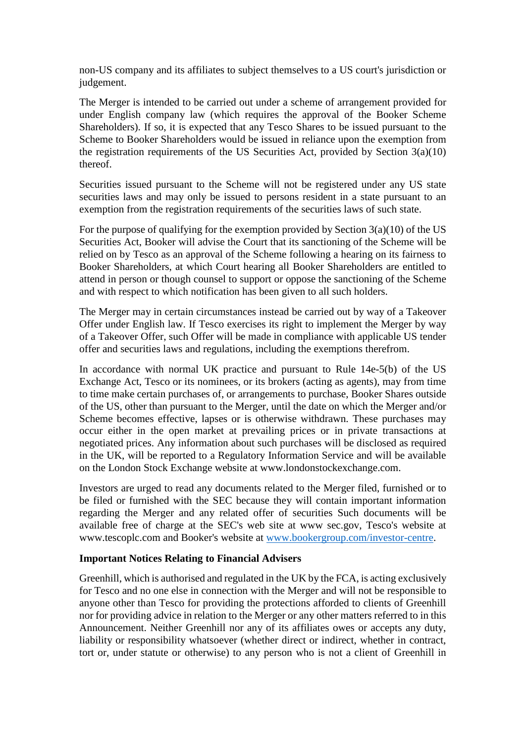non-US company and its affiliates to subject themselves to a US court's jurisdiction or judgement.

The Merger is intended to be carried out under a scheme of arrangement provided for under English company law (which requires the approval of the Booker Scheme Shareholders). If so, it is expected that any Tesco Shares to be issued pursuant to the Scheme to Booker Shareholders would be issued in reliance upon the exemption from the registration requirements of the US Securities Act, provided by Section  $3(a)(10)$ thereof.

Securities issued pursuant to the Scheme will not be registered under any US state securities laws and may only be issued to persons resident in a state pursuant to an exemption from the registration requirements of the securities laws of such state.

For the purpose of qualifying for the exemption provided by Section  $3(a)(10)$  of the US Securities Act, Booker will advise the Court that its sanctioning of the Scheme will be relied on by Tesco as an approval of the Scheme following a hearing on its fairness to Booker Shareholders, at which Court hearing all Booker Shareholders are entitled to attend in person or though counsel to support or oppose the sanctioning of the Scheme and with respect to which notification has been given to all such holders.

The Merger may in certain circumstances instead be carried out by way of a Takeover Offer under English law. If Tesco exercises its right to implement the Merger by way of a Takeover Offer, such Offer will be made in compliance with applicable US tender offer and securities laws and regulations, including the exemptions therefrom.

In accordance with normal UK practice and pursuant to Rule 14e-5(b) of the US Exchange Act, Tesco or its nominees, or its brokers (acting as agents), may from time to time make certain purchases of, or arrangements to purchase, Booker Shares outside of the US, other than pursuant to the Merger, until the date on which the Merger and/or Scheme becomes effective, lapses or is otherwise withdrawn. These purchases may occur either in the open market at prevailing prices or in private transactions at negotiated prices. Any information about such purchases will be disclosed as required in the UK, will be reported to a Regulatory Information Service and will be available on the London Stock Exchange website at www.londonstockexchange.com.

Investors are urged to read any documents related to the Merger filed, furnished or to be filed or furnished with the SEC because they will contain important information regarding the Merger and any related offer of securities Such documents will be available free of charge at the SEC's web site at www sec.gov, Tesco's website at www.tescoplc.com and Booker's website at [www.bookergroup.com/investor-centre.](http://www.bookergroup.com/investor-centre)

# **Important Notices Relating to Financial Advisers**

Greenhill, which is authorised and regulated in the UK by the FCA, is acting exclusively for Tesco and no one else in connection with the Merger and will not be responsible to anyone other than Tesco for providing the protections afforded to clients of Greenhill nor for providing advice in relation to the Merger or any other matters referred to in this Announcement. Neither Greenhill nor any of its affiliates owes or accepts any duty, liability or responsibility whatsoever (whether direct or indirect, whether in contract, tort or, under statute or otherwise) to any person who is not a client of Greenhill in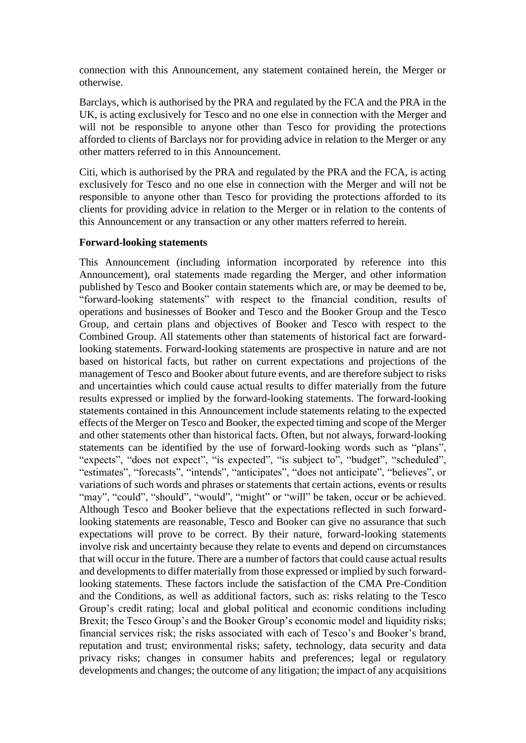connection with this Announcement, any statement contained herein, the Merger or otherwise.

Barclays, which is authorised by the PRA and regulated by the FCA and the PRA in the UK, is acting exclusively for Tesco and no one else in connection with the Merger and will not be responsible to anyone other than Tesco for providing the protections afforded to clients of Barclays nor for providing advice in relation to the Merger or any other matters referred to in this Announcement.

Citi, which is authorised by the PRA and regulated by the PRA and the FCA, is acting exclusively for Tesco and no one else in connection with the Merger and will not be responsible to anyone other than Tesco for providing the protections afforded to its clients for providing advice in relation to the Merger or in relation to the contents of this Announcement or any transaction or any other matters referred to herein.

## **Forward-looking statements**

This Announcement (including information incorporated by reference into this Announcement), oral statements made regarding the Merger, and other information published by Tesco and Booker contain statements which are, or may be deemed to be, "forward-looking statements" with respect to the financial condition, results of operations and businesses of Booker and Tesco and the Booker Group and the Tesco Group, and certain plans and objectives of Booker and Tesco with respect to the Combined Group. All statements other than statements of historical fact are forwardlooking statements. Forward-looking statements are prospective in nature and are not based on historical facts, but rather on current expectations and projections of the management of Tesco and Booker about future events, and are therefore subject to risks and uncertainties which could cause actual results to differ materially from the future results expressed or implied by the forward-looking statements. The forward-looking statements contained in this Announcement include statements relating to the expected effects of the Merger on Tesco and Booker, the expected timing and scope of the Merger and other statements other than historical facts. Often, but not always, forward-looking statements can be identified by the use of forward-looking words such as "plans", "expects", "does not expect", "is expected", "is subject to", "budget", "scheduled", "estimates", "forecasts", "intends", "anticipates", "does not anticipate", "believes", or variations of such words and phrases or statements that certain actions, events or results "may", "could", "should", "would", "might" or "will" be taken, occur or be achieved. Although Tesco and Booker believe that the expectations reflected in such forwardlooking statements are reasonable, Tesco and Booker can give no assurance that such expectations will prove to be correct. By their nature, forward-looking statements involve risk and uncertainty because they relate to events and depend on circumstances that will occur in the future. There are a number of factors that could cause actual results and developments to differ materially from those expressed or implied by such forwardlooking statements. These factors include the satisfaction of the CMA Pre-Condition and the Conditions, as well as additional factors, such as: risks relating to the Tesco Group's credit rating; local and global political and economic conditions including Brexit; the Tesco Group's and the Booker Group's economic model and liquidity risks; financial services risk; the risks associated with each of Tesco's and Booker's brand, reputation and trust; environmental risks; safety, technology, data security and data privacy risks; changes in consumer habits and preferences; legal or regulatory developments and changes; the outcome of any litigation; the impact of any acquisitions